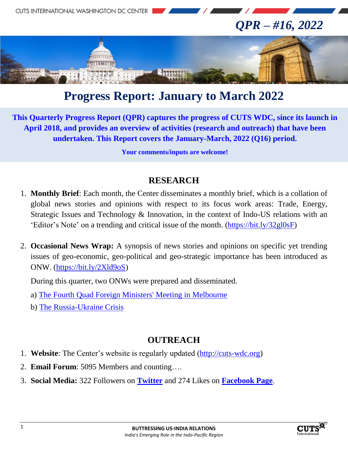

# **Progress Report: January to March 2022**

**This Quarterly Progress Report (QPR) captures the progress of CUTS WDC, since its launch in April 2018, and provides an overview of activities (research and outreach) that have been undertaken. This Report covers the January-March, 2022 (Q16) period.**

**Your comments/inputs are welcome!**

#### **RESEARCH**

- 1. **Monthly Brief**: Each month, the Center disseminates a monthly brief, which is a collation of global news stories and opinions with respect to its focus work areas: Trade, Energy, Strategic Issues and Technology & Innovation, in the context of Indo-US relations with an 'Editor's Note' on a trending and critical issue of the month. (https://bit.ly/32gl0sF)
- 2. **Occasional News Wrap:** A synopsis of news stories and opinions on specific yet trending issues of geo-economic, geo-political and geo-strategic importance has been introduced as ONW. (https://bit.ly/2Xld9oS)

During this quarter, two ONWs were prepared and disseminated.

- a) The Fourth Quad Foreign Ministers' Meeting in Melbourne
- b) The Russia-Ukraine Crisis

#### **OUTREACH**

- 1. **Website**: The Center's website is regularly updated (http://cuts-wdc.org)
- 2. **Email Forum**: 5095 Members and counting….
- 3. **Social Media:** 322 Followers on **Twitter** and 274 Likes on **Facebook Page**.